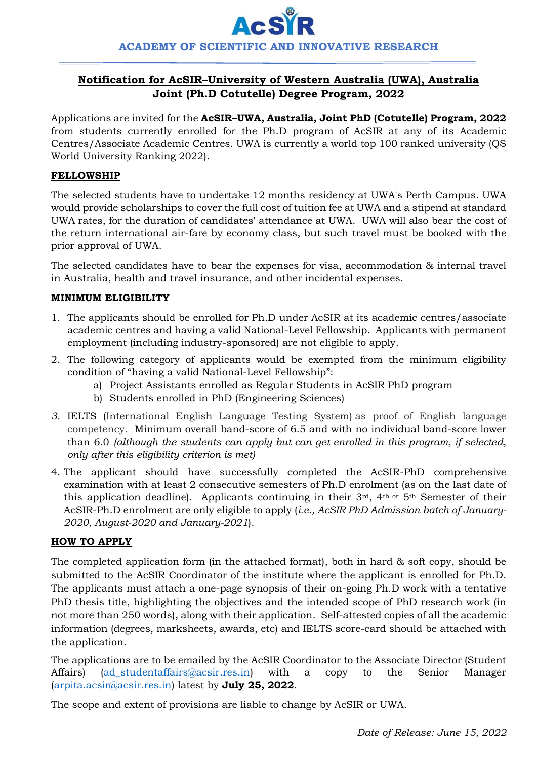

# **Notification for AcSIR–University of Western Australia (UWA), Australia Joint (Ph.D Cotutelle) Degree Program, 2022**

Applications are invited for the **AcSIR–UWA, Australia, Joint PhD (Cotutelle) Program, 2022** from students currently enrolled for the Ph.D program of AcSIR at any of its Academic Centres/Associate Academic Centres. UWA is currently a world top 100 ranked university (QS World University Ranking 2022).

### **FELLOWSHIP**

The selected students have to undertake 12 months residency at UWA's Perth Campus. UWA would provide scholarships to cover the full cost of tuition fee at UWA and a stipend at standard UWA rates, for the duration of candidates' attendance at UWA. UWA will also bear the cost of the return international air-fare by economy class, but such travel must be booked with the prior approval of UWA.

The selected candidates have to bear the expenses for visa, accommodation & internal travel in Australia, health and travel insurance, and other incidental expenses.

### **MINIMUM ELIGIBILITY**

- 1. The applicants should be enrolled for Ph.D under AcSIR at its academic centres/associate academic centres and having a valid National-Level Fellowship. Applicants with permanent employment (including industry-sponsored) are not eligible to apply.
- 2. The following category of applicants would be exempted from the minimum eligibility condition of "having a valid National-Level Fellowship":
	- a) Project Assistants enrolled as Regular Students in AcSIR PhD program
	- b) Students enrolled in PhD (Engineering Sciences)
- *3.* IELTS (International English Language Testing System) as proof of English language competency. Minimum overall band-score of 6.5 and with no individual band-score lower than 6.0 *(although the students can apply but can get enrolled in this program, if selected, only after this eligibility criterion is met)*
- 4. The applicant should have successfully completed the AcSIR-PhD comprehensive examination with at least 2 consecutive semesters of Ph.D enrolment (as on the last date of this application deadline). Applicants continuing in their 3rd, 4th or 5th Semester of their AcSIR-Ph.D enrolment are only eligible to apply (*i.e., AcSIR PhD Admission batch of January-2020, August-2020 and January-2021*).

## **HOW TO APPLY**

The completed application form (in the attached format), both in hard & soft copy, should be submitted to the AcSIR Coordinator of the institute where the applicant is enrolled for Ph.D. The applicants must attach a one-page synopsis of their on-going Ph.D work with a tentative PhD thesis title, highlighting the objectives and the intended scope of PhD research work (in not more than 250 words), along with their application. Self-attested copies of all the academic information (degrees, marksheets, awards, etc) and IELTS score-card should be attached with the application.

The applications are to be emailed by the AcSIR Coordinator to the Associate Director (Student Affairs) [\(ad\\_studentaffairs@acsir.res.in\)](mailto:ad_studentaffairs@acsir.res.in) with a copy to the Senior Manager [\(arpita.acsir@acsir.res.in\)](mailto:arpita.acsir@acsir.res.in) latest by **July 25, 2022**.

The scope and extent of provisions are liable to change by AcSIR or UWA.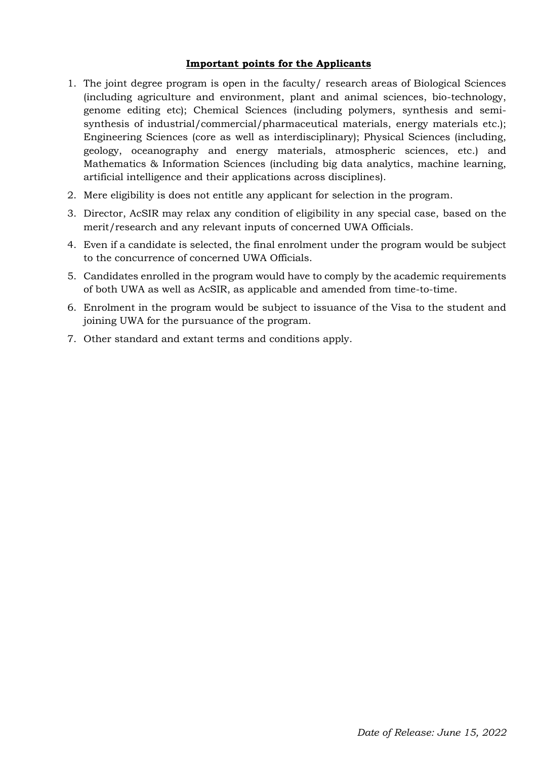### **Important points for the Applicants**

- 1. The joint degree program is open in the faculty/ research areas of Biological Sciences (including agriculture and environment, plant and animal sciences, bio-technology, genome editing etc); Chemical Sciences (including polymers, synthesis and semisynthesis of industrial/commercial/pharmaceutical materials, energy materials etc.); Engineering Sciences (core as well as interdisciplinary); Physical Sciences (including, geology, oceanography and energy materials, atmospheric sciences, etc.) and Mathematics & Information Sciences (including big data analytics, machine learning, artificial intelligence and their applications across disciplines).
- 2. Mere eligibility is does not entitle any applicant for selection in the program.
- 3. Director, AcSIR may relax any condition of eligibility in any special case, based on the merit/research and any relevant inputs of concerned UWA Officials.
- 4. Even if a candidate is selected, the final enrolment under the program would be subject to the concurrence of concerned UWA Officials.
- 5. Candidates enrolled in the program would have to comply by the academic requirements of both UWA as well as AcSIR, as applicable and amended from time-to-time.
- 6. Enrolment in the program would be subject to issuance of the Visa to the student and joining UWA for the pursuance of the program.
- 7. Other standard and extant terms and conditions apply.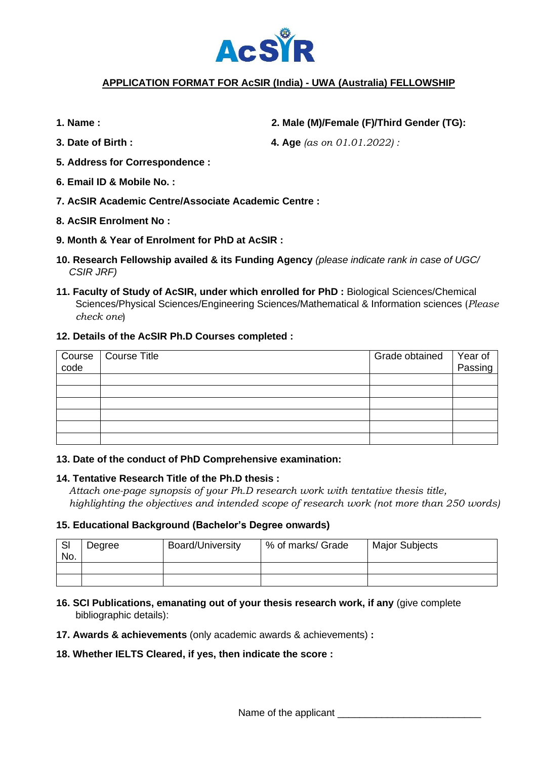

## **APPLICATION FORMAT FOR AcSIR (India) - UWA (Australia) FELLOWSHIP**

- 
- **3. Date of Birth : 4. Age** *(as on 01.01.2022) :*
- **5. Address for Correspondence :**
- **6. Email ID & Mobile No. :**
- **7. AcSIR Academic Centre/Associate Academic Centre :**
- **8. AcSIR Enrolment No :**
- **9. Month & Year of Enrolment for PhD at AcSIR :**
- **10. Research Fellowship availed & its Funding Agency** *(please indicate rank in case of UGC/ CSIR JRF)*
- **11. Faculty of Study of AcSIR, under which enrolled for PhD :** Biological Sciences/Chemical Sciences/Physical Sciences/Engineering Sciences/Mathematical & Information sciences (*Please check one*)

### **12. Details of the AcSIR Ph.D Courses completed :**

| Course '<br>  code | Course Title | Grade obtained | Year of<br>Passing |
|--------------------|--------------|----------------|--------------------|
|                    |              |                |                    |
|                    |              |                |                    |
|                    |              |                |                    |
|                    |              |                |                    |
|                    |              |                |                    |
|                    |              |                |                    |

### **13. Date of the conduct of PhD Comprehensive examination:**

### **14. Tentative Research Title of the Ph.D thesis :**

*Attach one-page synopsis of your Ph.D research work with tentative thesis title, highlighting the objectives and intended scope of research work (not more than 250 words)*

### **15. Educational Background (Bachelor's Degree onwards)**

| -SI<br>No. | Degree | Board/University | % of marks/ Grade | <b>Major Subjects</b> |
|------------|--------|------------------|-------------------|-----------------------|
|            |        |                  |                   |                       |
|            |        |                  |                   |                       |

- **16. SCI Publications, emanating out of your thesis research work, if any** (give complete bibliographic details):
- **17. Awards & achievements** (only academic awards & achievements) **:**
- **18. Whether IELTS Cleared, if yes, then indicate the score :**